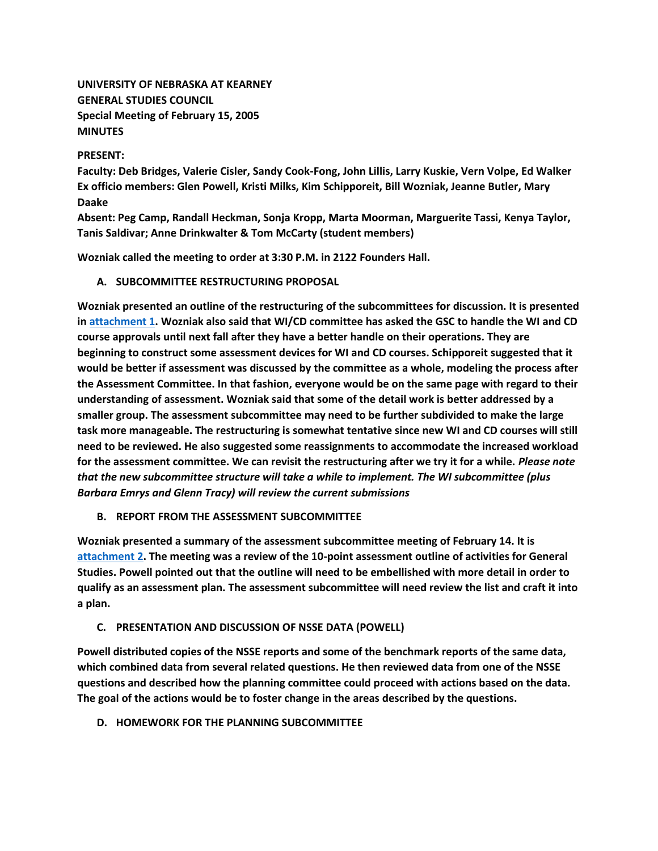**UNIVERSITY OF NEBRASKA AT KEARNEY GENERAL STUDIES COUNCIL Special Meeting of February 15, 2005 MINUTES**

## **PRESENT:**

**Faculty: Deb Bridges, Valerie Cisler, Sandy Cook-Fong, John Lillis, Larry Kuskie, Vern Volpe, Ed Walker Ex officio members: Glen Powell, Kristi Milks, Kim Schipporeit, Bill Wozniak, Jeanne Butler, Mary Daake**

**Absent: Peg Camp, Randall Heckman, Sonja Kropp, Marta Moorman, Marguerite Tassi, Kenya Taylor, Tanis Saldivar; Anne Drinkwalter & Tom McCarty (student members)**

**Wozniak called the meeting to order at 3:30 P.M. in 2122 Founders Hall.**

**A. SUBCOMMITTEE RESTRUCTURING PROPOSAL**

**Wozniak presented an outline of the restructuring of the subcommittees for discussion. It is presented in [attachment 1.](http://www.unk.edu/academicaffairs/generalstudies/index.php?id=3819) Wozniak also said that WI/CD committee has asked the GSC to handle the WI and CD course approvals until next fall after they have a better handle on their operations. They are beginning to construct some assessment devices for WI and CD courses. Schipporeit suggested that it would be better if assessment was discussed by the committee as a whole, modeling the process after the Assessment Committee. In that fashion, everyone would be on the same page with regard to their understanding of assessment. Wozniak said that some of the detail work is better addressed by a smaller group. The assessment subcommittee may need to be further subdivided to make the large task more manageable. The restructuring is somewhat tentative since new WI and CD courses will still need to be reviewed. He also suggested some reassignments to accommodate the increased workload for the assessment committee. We can revisit the restructuring after we try it for a while.** *Please note that the new subcommittee structure will take a while to implement. The WI subcommittee (plus Barbara Emrys and Glenn Tracy) will review the current submissions*

# **B. REPORT FROM THE ASSESSMENT SUBCOMMITTEE**

**Wozniak presented a summary of the assessment subcommittee meeting of February 14. It is [attachment 2.](http://www.unk.edu/academicaffairs/generalstudies/index.php?id=3820) The meeting was a review of the 10-point assessment outline of activities for General Studies. Powell pointed out that the outline will need to be embellished with more detail in order to qualify as an assessment plan. The assessment subcommittee will need review the list and craft it into a plan.**

# **C. PRESENTATION AND DISCUSSION OF NSSE DATA (POWELL)**

**Powell distributed copies of the NSSE reports and some of the benchmark reports of the same data, which combined data from several related questions. He then reviewed data from one of the NSSE questions and described how the planning committee could proceed with actions based on the data. The goal of the actions would be to foster change in the areas described by the questions.**

**D. HOMEWORK FOR THE PLANNING SUBCOMMITTEE**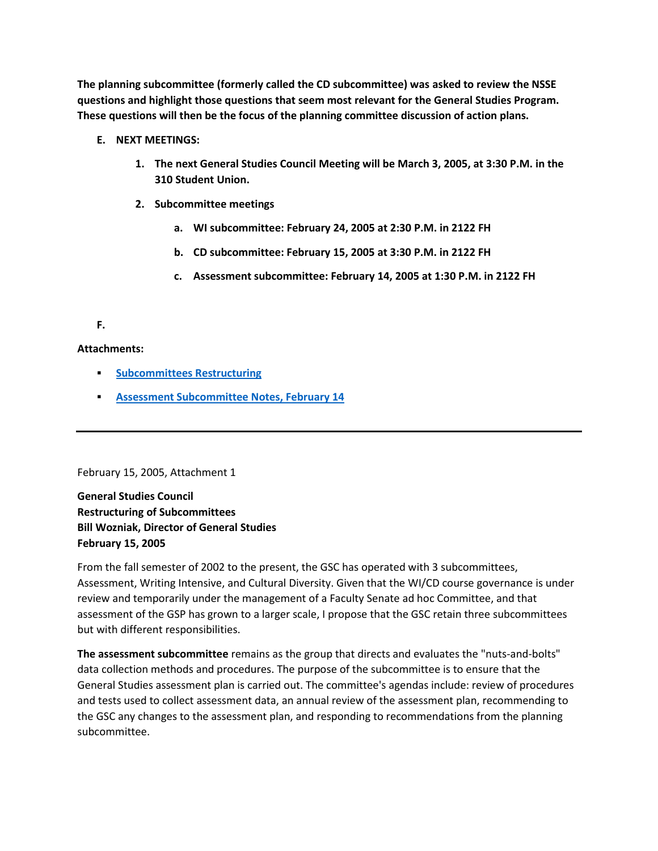**The planning subcommittee (formerly called the CD subcommittee) was asked to review the NSSE questions and highlight those questions that seem most relevant for the General Studies Program. These questions will then be the focus of the planning committee discussion of action plans.**

- **E. NEXT MEETINGS:**
	- **1. The next General Studies Council Meeting will be March 3, 2005, at 3:30 P.M. in the 310 Student Union.**
	- **2. Subcommittee meetings** 
		- **a. WI subcommittee: February 24, 2005 at 2:30 P.M. in 2122 FH**
		- **b. CD subcommittee: February 15, 2005 at 3:30 P.M. in 2122 FH**
		- **c. Assessment subcommittee: February 14, 2005 at 1:30 P.M. in 2122 FH**

# **F.**

# **Attachments:**

- **Fig. 3 [Subcommittees Restructuring](http://www.unk.edu/academicaffairs/generalstudies/index.php?id=3819)**
- **[Assessment Subcommittee Notes, February 14](http://www.unk.edu/academicaffairs/generalstudies/index.php?id=3820)**

February 15, 2005, Attachment 1

**General Studies Council Restructuring of Subcommittees Bill Wozniak, Director of General Studies February 15, 2005**

From the fall semester of 2002 to the present, the GSC has operated with 3 subcommittees, Assessment, Writing Intensive, and Cultural Diversity. Given that the WI/CD course governance is under review and temporarily under the management of a Faculty Senate ad hoc Committee, and that assessment of the GSP has grown to a larger scale, I propose that the GSC retain three subcommittees but with different responsibilities.

**The assessment subcommittee** remains as the group that directs and evaluates the "nuts-and-bolts" data collection methods and procedures. The purpose of the subcommittee is to ensure that the General Studies assessment plan is carried out. The committee's agendas include: review of procedures and tests used to collect assessment data, an annual review of the assessment plan, recommending to the GSC any changes to the assessment plan, and responding to recommendations from the planning subcommittee.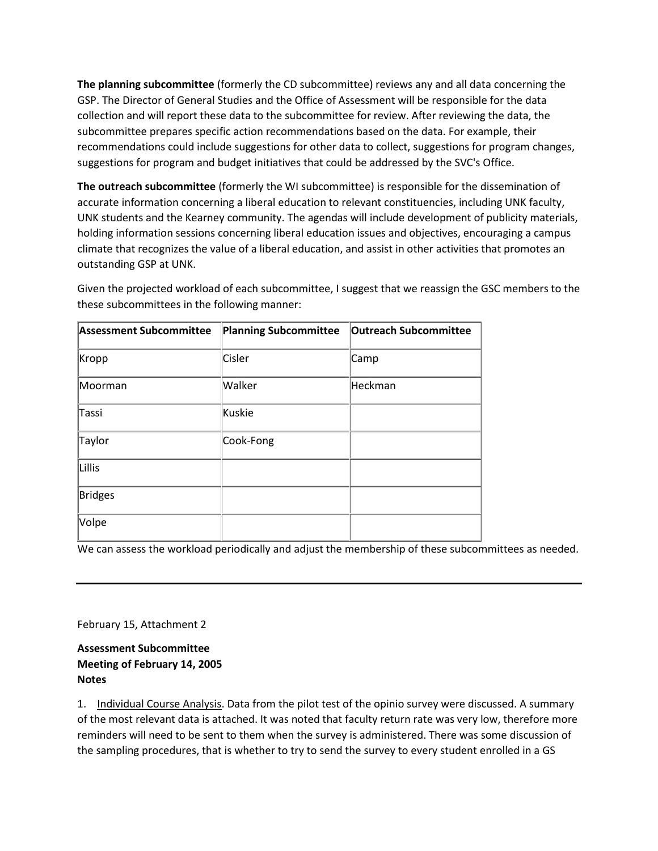**The planning subcommittee** (formerly the CD subcommittee) reviews any and all data concerning the GSP. The Director of General Studies and the Office of Assessment will be responsible for the data collection and will report these data to the subcommittee for review. After reviewing the data, the subcommittee prepares specific action recommendations based on the data. For example, their recommendations could include suggestions for other data to collect, suggestions for program changes, suggestions for program and budget initiatives that could be addressed by the SVC's Office.

**The outreach subcommittee** (formerly the WI subcommittee) is responsible for the dissemination of accurate information concerning a liberal education to relevant constituencies, including UNK faculty, UNK students and the Kearney community. The agendas will include development of publicity materials, holding information sessions concerning liberal education issues and objectives, encouraging a campus climate that recognizes the value of a liberal education, and assist in other activities that promotes an outstanding GSP at UNK.

Given the projected workload of each subcommittee, I suggest that we reassign the GSC members to the these subcommittees in the following manner:

| <b>Assessment Subcommittee</b> | <b>Planning Subcommittee</b> | <b>Outreach Subcommittee</b> |
|--------------------------------|------------------------------|------------------------------|
| Kropp                          | Cisler                       | Camp                         |
| Moorman                        | Walker                       | Heckman                      |
| Tassi                          | Kuskie                       |                              |
| Taylor                         | Cook-Fong                    |                              |
| Lillis                         |                              |                              |
| <b>Bridges</b>                 |                              |                              |
| Volpe                          |                              |                              |

We can assess the workload periodically and adjust the membership of these subcommittees as needed.

February 15, Attachment 2

**Assessment Subcommittee Meeting of February 14, 2005 Notes**

1. Individual Course Analysis. Data from the pilot test of the opinio survey were discussed. A summary of the most relevant data is attached. It was noted that faculty return rate was very low, therefore more reminders will need to be sent to them when the survey is administered. There was some discussion of the sampling procedures, that is whether to try to send the survey to every student enrolled in a GS